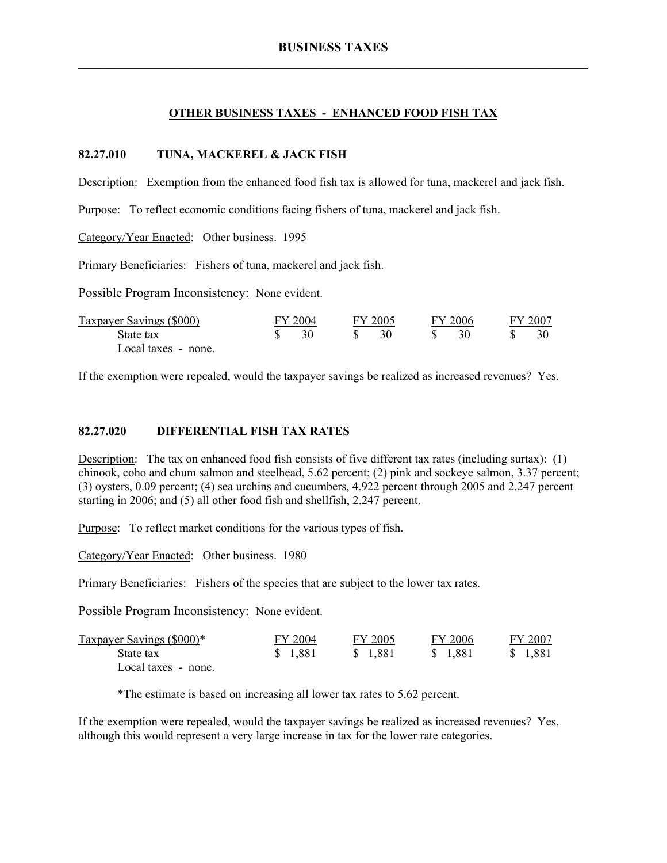### **OTHER BUSINESS TAXES - ENHANCED FOOD FISH TAX**

#### **82.27.010 TUNA, MACKEREL & JACK FISH**

Description: Exemption from the enhanced food fish tax is allowed for tuna, mackerel and jack fish.

Purpose: To reflect economic conditions facing fishers of tuna, mackerel and jack fish.

Category/Year Enacted: Other business. 1995

Primary Beneficiaries: Fishers of tuna, mackerel and jack fish.

Possible Program Inconsistency: None evident.

| <b>Taxpayer Savings (\$000)</b> | FY 2005<br>FY 2004 |  | FY 2006 | FY 2007 |  |
|---------------------------------|--------------------|--|---------|---------|--|
| State tax                       |                    |  |         |         |  |
| Local taxes - none.             |                    |  |         |         |  |

If the exemption were repealed, would the taxpayer savings be realized as increased revenues? Yes.

### **82.27.020 DIFFERENTIAL FISH TAX RATES**

Description: The tax on enhanced food fish consists of five different tax rates (including surtax): (1) chinook, coho and chum salmon and steelhead, 5.62 percent; (2) pink and sockeye salmon, 3.37 percent; (3) oysters, 0.09 percent; (4) sea urchins and cucumbers, 4.922 percent through 2005 and 2.247 percent starting in 2006; and (5) all other food fish and shellfish, 2.247 percent.

Purpose: To reflect market conditions for the various types of fish.

Category/Year Enacted: Other business. 1980

Primary Beneficiaries: Fishers of the species that are subject to the lower tax rates.

Possible Program Inconsistency: None evident.

| Taxpayer Savings (\$000)* | FY 2004  | FY 2005  | FY 2006 | FY 2007  |
|---------------------------|----------|----------|---------|----------|
| State tax                 | \$ 1,881 | \$ 1.881 | \$1.881 | \$ 1,881 |
| Local taxes - none.       |          |          |         |          |

\*The estimate is based on increasing all lower tax rates to 5.62 percent.

If the exemption were repealed, would the taxpayer savings be realized as increased revenues? Yes, although this would represent a very large increase in tax for the lower rate categories.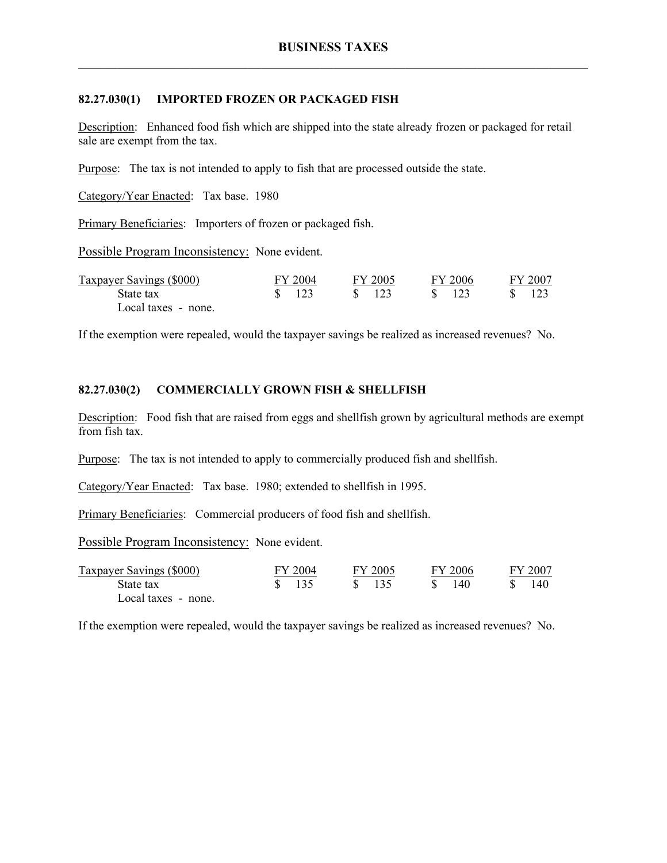### **82.27.030(1) IMPORTED FROZEN OR PACKAGED FISH**

Description: Enhanced food fish which are shipped into the state already frozen or packaged for retail sale are exempt from the tax.

Purpose: The tax is not intended to apply to fish that are processed outside the state.

Category/Year Enacted: Tax base. 1980

Primary Beneficiaries: Importers of frozen or packaged fish.

Possible Program Inconsistency: None evident.

| Taxpayer Savings (\$000) | FY 2004           | FY 2005 | FY 2006 | FY 2007 |  |
|--------------------------|-------------------|---------|---------|---------|--|
| State tax                | $\frac{1}{3}$ 123 | \$ 123  | \$ 123  | - 123   |  |
| Local taxes - none.      |                   |         |         |         |  |

If the exemption were repealed, would the taxpayer savings be realized as increased revenues? No.

## **82.27.030(2) COMMERCIALLY GROWN FISH & SHELLFISH**

Description: Food fish that are raised from eggs and shellfish grown by agricultural methods are exempt from fish tax.

Purpose: The tax is not intended to apply to commercially produced fish and shellfish.

Category/Year Enacted: Tax base. 1980; extended to shellfish in 1995.

Primary Beneficiaries: Commercial producers of food fish and shellfish.

Possible Program Inconsistency: None evident.

| Taxpayer Savings (\$000) | FY 2004        | FY 2005         | FY 2006 | FY 2007 |  |
|--------------------------|----------------|-----------------|---------|---------|--|
| State tax                | $\sqrt{3}$ 135 | $\frac{135}{2}$ | 140     | 140.    |  |
| Local taxes - none.      |                |                 |         |         |  |

If the exemption were repealed, would the taxpayer savings be realized as increased revenues? No.